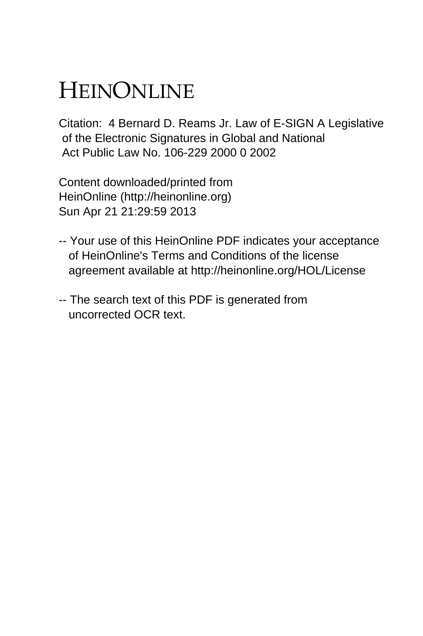# HEINONLINE

Citation: 4 Bernard D. Reams Jr. Law of E-SIGN A Legislative of the Electronic Signatures in Global and National Act Public Law No. 106-229 2000 0 2002

Content downloaded/printed from HeinOnline (http://heinonline.org) Sun Apr 21 21:29:59 2013

- -- Your use of this HeinOnline PDF indicates your acceptance of HeinOnline's Terms and Conditions of the license agreement available at http://heinonline.org/HOL/License
- -- The search text of this PDF is generated from uncorrected OCR text.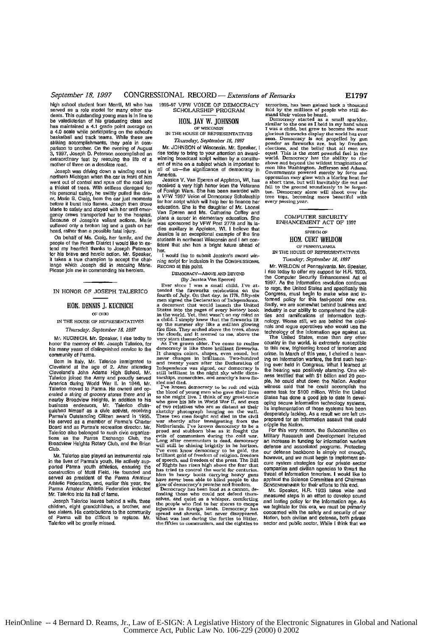**September 18, 1997 CONGRESSIONAL RECORD** - *Extensions of Remarks*<br> **September 18, 1997 CONGRESSIONAL RECORD** - *Extensions of Remarks*<br>
seved as note model for many other studies in the set of the multions of people high school student from Merrill, **MI** who has served as **a** role model for many other stu**dents.** This outstanding **young man** is in line to **be** valedictorian of his graduating class **and** has maintained a 4.1 grade point average on a 4.0 scale while participating on the school's basketball **and** track teams. While these are **striking** accomplishmets, they **pale** in com**pedson to** another. On the **evening** of August **3, 1997,** Joseph **D.** Peterson accomplished an **extraordinary** feat **by** rescuing the ifde of **a** mother of three on a desolate road.

Joseph was **driving down a** winding read **in** northern Michigan when the car in front of him went **out** of control **and** spun **off** the road **into** a thicket of trees. With selfless disregard for<br>his personal safety, he swiftly pulled the driv-<br>er, Marie S. Craig, from the car just moments<br>before it burst into flames. Joseph then drove Marie to safety and stayed with her until *mer-*gency crews transported her to the hospital. Because **of** Joseph's valiant ations, **Marie** suffered only a broken **log** and a gash **on** her **head,** rather than a possible fatal injury.

On behalf of Ms. Craig. her family, and the people of the Fourth Distrct I would like to extend my heartfelt thanks to Joseph Peterson for his brave **and** hereic action. Mr. Speaker, it takes a true champion to accept the challenge which Joseph did in rescuing Made. Please join me in commending his heroism.

**IN HONOR** OF **JOSEPH** TALERICO

#### **RON, DENNIS J. KUCINICH OF ORIO**

IN THE **HOUSE** OF **REPRESENTATIVES**

*Thursday, September 18, 1997*

*Mr.* **KUCIN[CH.** Mr. Speaker, **I** rise today to honor the memory of Mr. Joseph Taterico, for<br>his many years of distinguished service to the community of Parma.

Born in Italy, Mr. Taterioc immigrated to Cleveland at the age of 2. After attending Cleveland's John Adams High School, Mr. Taledco joined the Army end proudly served Amedca during Wodd War I. In 1946, Mr. Talerico moved to Parma. He owned and onorated a *string* **of** grocery stores *there* and **in** nearby Broadview Heights. In addition to his business endeavors, Mr. Talerica distin-guished himself as a civic activist, receiving Parma's Outstanding Ofizen award in **1955.** He sewed as a member of Parta's Charter Board **and** as Parma's recreation director. Mr Taleco also belonged to such **civic** orgacizations **as** the Parma Exchange Club, the Broadview Heights Rotary Club, and the Brian Club.

Mr. Talerico also played an instrumental role in the lives of Paoa's youth. He actively **sup-**posed Parma youth athletics, ensuring the construction of MotU Field. He founded and *served* as president of the Parma Amateur Athletic Federation, and, earlier this year, the Parma Amateur Athletic Federation inducted Mr. Talerico into its hall of fame.

Joseph Talerico leaves behind a wife, three children, eight grandbhildren, a brother, and two sisters. His contributions to the community of Parma **will** be difficult to replace. Mr. Talerico will be greatly missed.

**1996-97 VFW** VOICE *OF* **DEMOCRACY** SCHOLARSHIP **PROGRAM**

## **HON. JAY W. JOHNSON**

*IN* THE HOUSE OF REPRESENTATIVES *Thesnday, September 18, 1997*

Mr. **JOHNSON** of Wisconsin. Mr. Speaker, **I** rise today to bring to your attention an award-<br>winning broadcast script written by a constituent of mine on a subject which is important to

all of us-lhe significance of democracy in America. Jessica V. Van Eperen of Appleton, WI, has<br>received a very high honor from the Veterans<br>of Foreign Wars. She has been awarded with<br>a VFW 1997 Voice of Democracy Scholarship<br>for her script which will help her to finance her

education. She is the daughter of Mr. Leonel<br>Van Eperen and Ms. Catherine Coffey and plans a career in elementary education. **She was** sponsored by **VFW** Post 2778 and **its** ladies auxiliary in Appleton, Wl. I believe that Jessica is an exceptional example of the fine students in northeast Wisconsin and I am confident that she has a bright future ahead of her.

I would like to submit Jesseca's award win-ning script for inclusion in the **CONGRESSIONAL** RECORD at this point.

DEMOcrACY-ABOVE **AND** BEYOD **(By** Jessica **Van** Epenm)

Ever since T was a small child, I've attended the fireworks celebration on the fourth of July. On that day, in 1776, fifty-six men signed the Declaration of Independence. men signed the Declaration of Independence. States into the United and<br>current that would launch the United Institute in the world. Yet, that wasn't on my mind as a child. I simply knew that the fireworks lite up the summ

the blood of young men who gave their lives<br>so she might live. I think of my great-uncle<br>who gave his life in World War II, and even<br>of two relatives who are as distant as their<br>sketchy photograph hanging on the wall.<br>Thes Long after communism is dead, democracy<br>will still be shining brightly in he horizon.<br>Twe even know democracy to be gold, the<br>brilliant gold of freedom of religion. Ireadom<br>of spech, and freedom of the press. The Bill<br>of S of Specin, and research or the press. The Dun<br>A Rights has risen high above the fear that has tried to control the world for centuries.<br>Men In heavy boots carrying heavy guns<br>have never been able to bind respite to the<br>glo

In the people who foreign and shrunk, but never disappeared. Democration in the people who fitled in people who first during the forties to Hitler. What was lost during the forties to Hitler, the fifties to communism, and

terrorism, has been gained back a thousant<br>fold by the millions of people who still devices be heard.<br>In additivities below the still dependent wites a small sparkler,<br>similar to the one as I held in my hand when<br>I was a c oppression may glow with a blaring heat for a short time, but will invertably de out and<br>fall to the ground soundlessly to be forgotten. Democracy alone will shoot over the<br>ten. Democracy alone will shoot over the<br>tree top

## COMPUTER SECURITY **ENHANCEMENT ACT** OF **1997**

SPEECH OF

**RON. CURT WELDON** 

IN **THE HOUSE** OF REPRESENTATIVES *Tuesday, September 16, 1997*

Mr. **WELDON** of Pennsylvania. Mr. Speaker, **I** rise today to offer my support **for** H.R. **1903,** the Computer Security **Enhancement Act** of **1997.** As the information revolution continues to rage, the United Stales and specifically this Congress, **must** begin to make wise **and** in-Sadly, we are somewhat behind business and industry In our ability to comprehend the abili-ties and ramifications of information technology. **Worse still, we** are behind *the* criminals and rogue **operatives** who **would** use the technology of the information age against us.<br>The United States, more than any other

country in **the** world, is extremely susceptible **to** this new, frightening breed **of** terrorism and crime. In March of this year, I chaired a hearing on intormation warfare, **the** first such hear-ing ever held in Congress. What I learned at the hearing was positively alarming. One **wit-**ness testied that with **\$1** billion **and** 20 peo**ple,** he could shut down the Nation. Another **witness** said that **he** could accomplish the same task for **\$100** million. While the United States **has** done a good **job** to date in **devel-**oping secure information **technology** systems, its implementation of those systems has been desporately lacking. As a **result** we are left *un-*prepared for an **information** assault that could cripple the Nation.

*For* this very rmason, the Subcommitee on Military **Research** and **Development** Included an increase in **funding** for information **warfare** defense and **associated** programs. Protesting our defense backbone is simply **not** enough, **however,** and **we must** begin to implement **se**cure system strategies for *our* private **sector** companies and civilian agencies to thwart the threat of information terrorism. **I** would like to applaud *the* Science Committee and Chairman SENSENBRENNER for their efforts to this end.

**Mr.** Speaker, H.R. **1903 takes** wise **and** measured steps in an effort to **develop sound and** lasting policy fur the information age. As **we** Igislate **for** this era, we must be primarily concerned with the **safety** and security of **our** Nation, both civilian and defense, both private sector and public sector. While I think that we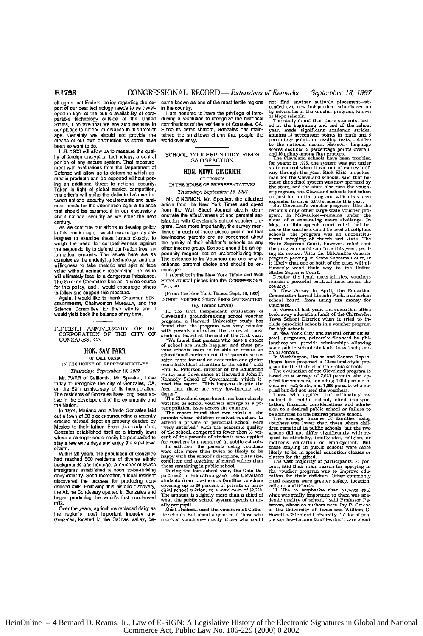all agree that Federal policy regarding the ex*port* of our best technology needs to be devel-oped in light of the public availability of comparable technology outside of the United States, I believe that we are also resoute in our pledge to defend our Nation in this frontler age. Certainly we should not provide the means of our own destruction **as** some have

been so wont to do.<br>**H.R. 1903 will allow us to measure the qual** ity of foreign encryption technology, a central portion of any secure system. That measure-ment with evaluations from the Department of Defense will allow us to determine which domestic products can be exported without pos**ing** an additional threat to national security. Taken **in** light of global market competition, this criteria will strike the delicate balance **be**tween national security requirements and busi-ness needs for the information age, **a** balance that should be paramount in our discussions about national security as we enter the next century. **As** we continue **our** efforts to devetop policy

**in** this frontier age, **I** would encourage my col-leagues to examine these issues closely, to weigh the need for competitiveness against the responsibility to defend eur Nation from informatlion terrorists. The issues here *are* as complex as the underlying technology, and our willingness to take rhetoric and spin **at** face **value** without seriously researching the issue **will** ultimately lead to a dangerous imbalance. The Science Committee has set **a** wise course for this policy, and I would encourage others **to** follow **and support** this measure.

Again, **I** would like to thank Chairman SEN-**SENBRENNER,** Chairwoman MORELLA, and the Science Committee for their efforts and **I** would yield back the balance of my time.

FIFTIETH ANNIVERSARY OF IN-CORPORATION OF THE CITY OF GONZALES, CA

## **HON. SAM** FARR

OF **CALIFORNIA IN** THE **HOUSE** OF REPRESENTATIVES *Thursday, September 18, 1997*

Mr. FARR of Califomia. Mr. Speaker, **I** rise today to recognize the city of Gonzales, **CA,** on the b0th *anniversary* of its incorporation. The residents Of Gonzales have **long** been active in the development of the community and the Nation.

In 1874, Mariano and Alfredo Gonzales laid out a town of 50 blocks surrounding a recently crested railroad depot on property deeded by Mexico to their father. From this early date, Gonzales established itself as a friendly town where a stranger could easily **be** persuaded to stay a few extra days and enjoy the smelfown ch.

Within 20 years, the population of Gonzale **had** reached 500 residents of diverse ethnic backgrounds and heritage. A number of Swiss immigrants eslablished a soon to-be-thriving dairy industry. Soon thereafter, a local resident discovered the process for producing condensed milk. Following this historic discovery,<br>the Alpine Condesary opened in Gonzales and began producing the wodd's first condensed milk.

Over the **years,** agriculture replaced dairy as the region's most important industry and Goczales, located In the Salinas Valley, *he-* came known as one of the most fertile regions in the country.

I am honored to have the privilege of introand the recognize the historical contributions of the residents of Gonzales, CA. Since its establishment, Gonzales has maintained the smalhown charm that people the world over envy.

#### **SCHOOL VOUCHER STUDY** FINDS SATISFACTION

# **HON.** NEWT **GINGRICH** OF GEORGIA

IN **THE HOUSE** OF REPRESENTATIVES *Thursday* September **18, 1997**

Mr. **GINGRICH.** Mr. Speaker, the attached article from the New York Times and op-ed from the Wall Street **Journal** clearly demonstrate the effetiveness of and parental satisfaction with Cleveland's school **voucher** program. Even more importantly, **the** survey men-tioned in each of these pieces points **out** that low-income parents are as concerned **about** the **quality** of **their** children's schools as **any** other income group. Schools should be an **op**portunity magnet, not an underachieving trap.<br>The evidence is in: Vouchers are one way to enhance parental choice and should be encouraged.

**I** submit both the New York Times and Wall Street **Journal** pieces into the **CONGRESSIONAL** RECORD.

[From the New York Times, Sept. **18, 19971** SCHOOL VOUCHER STUDY FINDS SATISFACTION (By Tamar Lewin)

In the first independent evaluation of Cleveland's groundbreaking school voucher<br>program, a Harvard University study has<br>found that the program was very popular with **p.rents** and raised the scores of those students tested at **the** end **of** the first year. "We found that parents who have a choice

of schools are much happier, and these private schools seem to be able to create an<br>of schools seem to be able to create an<br>vate schools seem to be able to create an educational environment that parents see as safer, more focused on academics and giving<br>more individual attention to the child," said more individual attention to the child," said Paul E. Peterson, director of the Education Policy and Governance at Harvard's John F. Kennedy School of Government, which is-<br>sued the report. "This happens despite the<br>fact that these are very low-income stu-

dents."<br>The Cleveland experiment has been closely<br> $\frac{1}{2}$  The Cleveland experiment has been closely watched as school vouchers emerge as a potent political issue across the country.<br>The report found that two-thirds of the

Fin report found that two-thirds of the part for parents whose children received vouchers to attend a private or parochial school were "very satisfied" with the academic quality of the school, compared to fewer than  $m$ --of the school, compared to fewer than **31** per- **ceont** of the parents of **studests** who applied for vouchers **but** remained in public school.

**In** addition. the parents using veuchers were also mom than tmice a **likely** to **be** happy with the school's discipline, class size, condition and teaching of moral values than those remaining in public school. During the last school **year,** the Ohio De-

partment of Education gave **196** Cleveland students from lw-income families vouchers revering **up to 90** percent **of** private **or** pare- chial school tuition. **te** a maximum of \$2o5. The amount is slightly more than a third of what the **public** srhat system **spends** ennually per pupil.

Most students used the vouchers at Catholie schools. But about a quarter of those who received vouchers-mostly those who could **not** find **another** suitable placement-at- tended **Owe** new independent schools **set** up

by advocates of the voucher program, known<br>as Hope schools.<br>The study found that those students, test-<br>ed at the beginning and end of the school<br>year, made significant academic strides, gaining 15 percentage points in math and 5<br>percentage points on reading tests, relative<br>to the national norms. However, language<br>scores declined 5 percentage points overall,<br>and 18 points among first graders.<br>The Cieveland

way through the year. Rick Eilis, a spokes<br>man for the Cleveland schools, said that be-<br>man for the Cleveland schools, said that be-<br>cause the school system was now operated by<br>the vanche scate and the state also runs the

May, an Ohio appeals **court** ruled that be- **cause** the vouchrsculd be **-ed** at religious schools, the program was **an** unconstitu- tional mingling of church **and** state. The State Supreme Court, however, ruled that<br>the program could continue this year, pend-<br>ing its review. With the Milwaukee voucher<br>program pending in State Supreme Court, it<br>is likely that one or both of the cases will ul**timately that one or both of the cases will unitably the silkely that one or both of the cases will unitably wend their way to the United States Supreme Court.<br>
<b>Expire the legal uncertainties**, vouchers remain a powerful

country: **ti** New **Jerey** in **April.** the Eduratiun

school board, from using tax money for vouchers.<br>In Vermont last year, the education office

took away education funds **of the** Chittenden Town School District when **it tried** to in-**cindo parochial schools in** a vouchrer **program for high schools.**<br>In New York City and several other citi

mall programs, privately financed by phi-<br>lanthropists, provide scholarships allowing<br>some public school students to attend paro**chial schools.** In Washington, House and Senate Repub-

licans have proposed a Cleveland-style pro-<br>gram for the District of Columbia schools.<br>The evaluation of the Cleveland program is<br>based on a survey of 2,020 parents who applied for vouchers, including 1,014 parents of<br>vouc plied **but did** not used **the** vouchers. Those who applied, **but** ultimately **e-**

malned in public school, cited transportations, and admission to a desired public school or failure to identification and admission to a desired public school or failure to The average income of families using volucles was

re annuce to the average income of families using<br>volchers was lower than those whose children remained in public schools, but the two<br>groups did not differ significantly with respect to ethnicity. family size. religion. or mother's education **or** employment. But those staying in public schools were **more likely** to **be** in **special** education classes er classes for the gifted. The vast majority of participants. **85** per-

cent. said their main reason for applying to the voucher program was to improve edu-<br>tation for their children. Other commonly<br>cited reasons were greater safety. location. rel gion **and** friends. **'1 lke to** emphasize that parens said

The was cally important to them was academic quality of school, " sald Professor Pe-<br>terson, whose co-authors were Jay P. Greene<br>terson, whose co-authors were Jay P. Greene<br>of the University of Texas and William G.<br>Howell